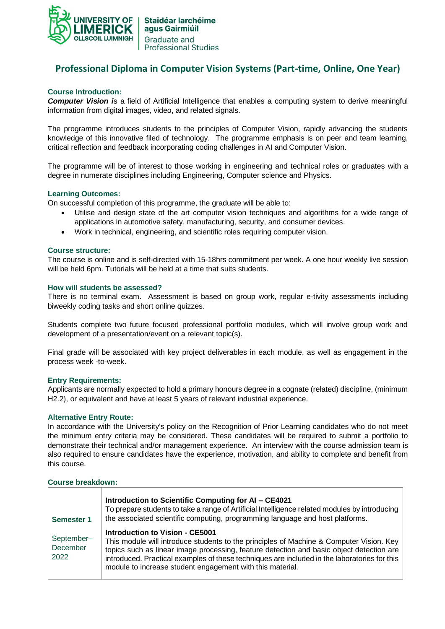

## **Professional Diploma in Computer Vision Systems (Part-time, Online, One Year)**

## **Course Introduction:**

*Computer Vision i*s a field of Artificial Intelligence that enables a computing system to derive meaningful information from digital images, video, and related signals.

The programme introduces students to the principles of Computer Vision, rapidly advancing the students knowledge of this innovative filed of technology. The programme emphasis is on peer and team learning, critical reflection and feedback incorporating coding challenges in AI and Computer Vision.

The programme will be of interest to those working in engineering and technical roles or graduates with a degree in numerate disciplines including Engineering, Computer science and Physics.

## **Learning Outcomes:**

On successful completion of this programme, the graduate will be able to:

- Utilise and design state of the art computer vision techniques and algorithms for a wide range of applications in automotive safety, manufacturing, security, and consumer devices.
- Work in technical, engineering, and scientific roles requiring computer vision.

### **Course structure:**

The course is online and is self-directed with 15-18hrs commitment per week. A one hour weekly live session will be held 6pm. Tutorials will be held at a time that suits students.

### **How will students be assessed?**

There is no terminal exam. Assessment is based on group work, regular e-tivity assessments including biweekly coding tasks and short online quizzes.

Students complete two future focused professional portfolio modules, which will involve group work and development of a presentation/event on a relevant topic(s).

Final grade will be associated with key project deliverables in each module, as well as engagement in the process week -to-week.

### **Entry Requirements:**

Applicants are normally expected to hold a primary honours degree in a cognate (related) discipline, (minimum H2.2), or equivalent and have at least 5 years of relevant industrial experience.

### **Alternative Entry Route:**

In accordance with the University's policy on the Recognition of Prior Learning candidates who do not meet the minimum entry criteria may be considered. These candidates will be required to submit a portfolio to demonstrate their technical and/or management experience. An interview with the course admission team is also required to ensure candidates have the experience, motivation, and ability to complete and benefit from this course.

### **Course breakdown:**

| <b>Semester 1</b>              | Introduction to Scientific Computing for AI - CE4021<br>To prepare students to take a range of Artificial Intelligence related modules by introducing<br>the associated scientific computing, programming language and host platforms.                                                                                                                                              |
|--------------------------------|-------------------------------------------------------------------------------------------------------------------------------------------------------------------------------------------------------------------------------------------------------------------------------------------------------------------------------------------------------------------------------------|
| September-<br>December<br>2022 | Introduction to Vision - CE5001<br>This module will introduce students to the principles of Machine & Computer Vision. Key<br>topics such as linear image processing, feature detection and basic object detection are<br>introduced. Practical examples of these techniques are included in the laboratories for this<br>module to increase student engagement with this material. |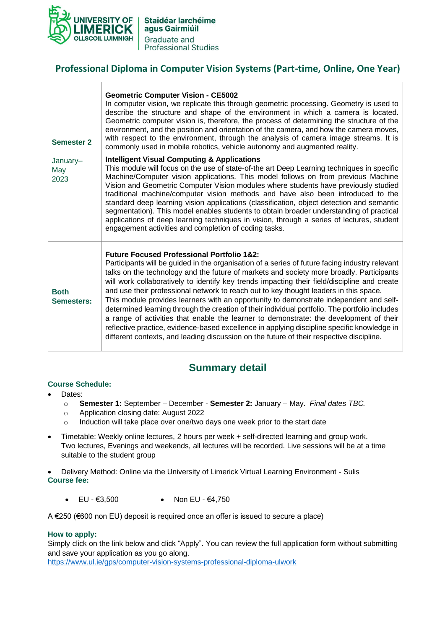

## **Professional Diploma in Computer Vision Systems (Part-time, Online, One Year)**

| <b>Semester 2</b>         | <b>Geometric Computer Vision - CE5002</b><br>In computer vision, we replicate this through geometric processing. Geometry is used to<br>describe the structure and shape of the environment in which a camera is located.<br>Geometric computer vision is, therefore, the process of determining the structure of the<br>environment, and the position and orientation of the camera, and how the camera moves,<br>with respect to the environment, through the analysis of camera image streams. It is<br>commonly used in mobile robotics, vehicle autonomy and augmented reality.                                                                                                                                                                                                                                                                                                                                          |
|---------------------------|-------------------------------------------------------------------------------------------------------------------------------------------------------------------------------------------------------------------------------------------------------------------------------------------------------------------------------------------------------------------------------------------------------------------------------------------------------------------------------------------------------------------------------------------------------------------------------------------------------------------------------------------------------------------------------------------------------------------------------------------------------------------------------------------------------------------------------------------------------------------------------------------------------------------------------|
| January-<br>May<br>2023   | <b>Intelligent Visual Computing &amp; Applications</b><br>This module will focus on the use of state-of-the art Deep Learning techniques in specific<br>Machine/Computer vision applications. This model follows on from previous Machine<br>Vision and Geometric Computer Vision modules where students have previously studied<br>traditional machine/computer vision methods and have also been introduced to the<br>standard deep learning vision applications (classification, object detection and semantic<br>segmentation). This model enables students to obtain broader understanding of practical<br>applications of deep learning techniques in vision, through a series of lectures, student<br>engagement activities and completion of coding tasks.                                                                                                                                                            |
| <b>Both</b><br>Semesters: | <b>Future Focused Professional Portfolio 1&amp;2:</b><br>Participants will be guided in the organisation of a series of future facing industry relevant<br>talks on the technology and the future of markets and society more broadly. Participants<br>will work collaboratively to identify key trends impacting their field/discipline and create<br>and use their professional network to reach out to key thought leaders in this space.<br>This module provides learners with an opportunity to demonstrate independent and self-<br>determined learning through the creation of their individual portfolio. The portfolio includes<br>a range of activities that enable the learner to demonstrate: the development of their<br>reflective practice, evidence-based excellence in applying discipline specific knowledge in<br>different contexts, and leading discussion on the future of their respective discipline. |

# **Summary detail**

## **Course Schedule:**

- Dates:
	- o **Semester 1:** September December **Semester 2:** January May. *Final dates TBC.*
	- o Application closing date: August 2022
	- o Induction will take place over one/two days one week prior to the start date
- Timetable: Weekly online lectures, 2 hours per week + self-directed learning and group work. Two lectures, Evenings and weekends, all lectures will be recorded. Live sessions will be at a time suitable to the student group

• Delivery Method: Online via the University of Limerick Virtual Learning Environment - Sulis **Course fee:**

• EU - €3,500 • Non EU - €4,750

A €250 (€600 non EU) deposit is required once an offer is issued to secure a place)

## **How to apply:**

Simply click on the link below and click "Apply". You can review the full application form without submitting and save your application as you go along.

<https://www.ul.ie/gps/computer-vision-systems-professional-diploma-ulwork>